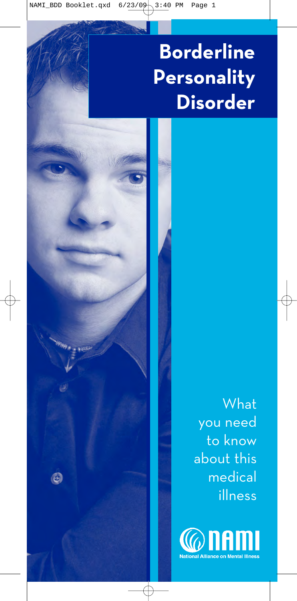# **Borderline Personality Disorder**

 $\bigcirc$ 

What you need to know about this medical illness

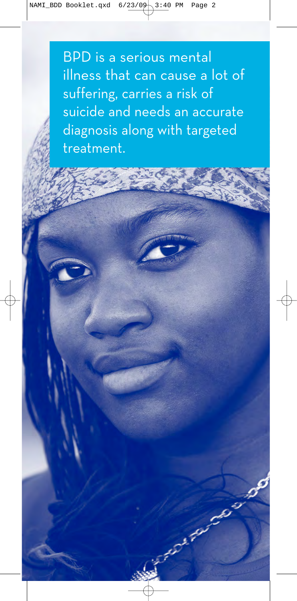BPD is a serious mental illness that can cause a lot of suffering, carries a risk of suicide and needs an accurate diagnosis along with targeted treatment.

Þ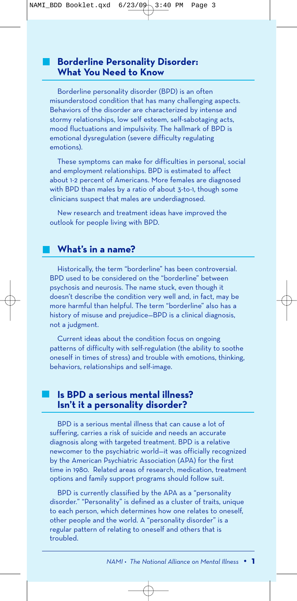## **Borderline Personality Disorder: What You Need to Know**

Borderline personality disorder (BPD) is an often misunderstood condition that has many challenging aspects. Behaviors of the disorder are characterized by intense and stormy relationships, low self esteem, self-sabotaging acts, mood fluctuations and impulsivity. The hallmark of BPD is emotional dysregulation (severe difficulty regulating emotions).

These symptoms can make for difficulties in personal, social and employment relationships. BPD is estimated to affect about 1-2 percent of Americans. More females are diagnosed with BPD than males by a ratio of about 3-to-1, though some clinicians suspect that males are underdiagnosed.

New research and treatment ideas have improved the outlook for people living with BPD.

## **What's in a name?**

Historically, the term "borderline" has been controversial. BPD used to be considered on the "borderline" between psychosis and neurosis. The name stuck, even though it doesn't describe the condition very well and, in fact, may be more harmful than helpful. The term "borderline" also has a history of misuse and prejudice—BPD is a clinical diagnosis, not a judgment.

Current ideas about the condition focus on ongoing patterns of difficulty with self-regulation (the ability to soothe oneself in times of stress) and trouble with emotions, thinking, behaviors, relationships and self-image.

# **Is BPD a serious mental illness? Isn't it a personality disorder?**

BPD is a serious mental illness that can cause a lot of suffering, carries a risk of suicide and needs an accurate diagnosis along with targeted treatment. BPD is a relative newcomer to the psychiatric world—it was officially recognized by the American Psychiatric Association (APA) for the first time in 1980. Related areas of research, medication, treatment options and family support programs should follow suit.

BPD is currently classified by the APA as a "personality disorder." "Personality" is defined as a cluster of traits, unique to each person, which determines how one relates to oneself, other people and the world. A "personality disorder" is a regular pattern of relating to oneself and others that is troubled.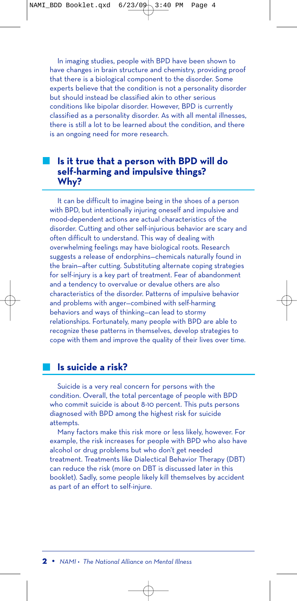In imaging studies, people with BPD have been shown to have changes in brain structure and chemistry, providing proof that there is a biological component to the disorder. Some experts believe that the condition is not a personality disorder but should instead be classified akin to other serious conditions like bipolar disorder. However, BPD is currently classified as a personality disorder. As with all mental illnesses, there is still a lot to be learned about the condition, and there is an ongoing need for more research.

## **Is it true that a person with BPD will do self-harming and impulsive things? Why?**

It can be difficult to imagine being in the shoes of a person with BPD, but intentionally injuring oneself and impulsive and mood-dependent actions are actual characteristics of the disorder. Cutting and other self-injurious behavior are scary and often difficult to understand. This way of dealing with overwhelming feelings may have biological roots. Research suggests a release of endorphins—chemicals naturally found in the brain—after cutting. Substituting alternate coping strategies for self-injury is a key part of treatment. Fear of abandonment and a tendency to overvalue or devalue others are also characteristics of the disorder. Patterns of impulsive behavior and problems with anger—combined with self-harming behaviors and ways of thinking—can lead to stormy relationships. Fortunately, many people with BPD are able to recognize these patterns in themselves, develop strategies to cope with them and improve the quality of their lives over time.

## **Is suicide a risk?**

Suicide is a very real concern for persons with the condition. Overall, the total percentage of people with BPD who commit suicide is about 8-10 percent. This puts persons diagnosed with BPD among the highest risk for suicide attempts.

Many factors make this risk more or less likely, however. For example, the risk increases for people with BPD who also have alcohol or drug problems but who don't get needed treatment. Treatments like Dialectical Behavior Therapy (DBT) can reduce the risk (more on DBT is discussed later in this booklet). Sadly, some people likely kill themselves by accident as part of an effort to self-injure.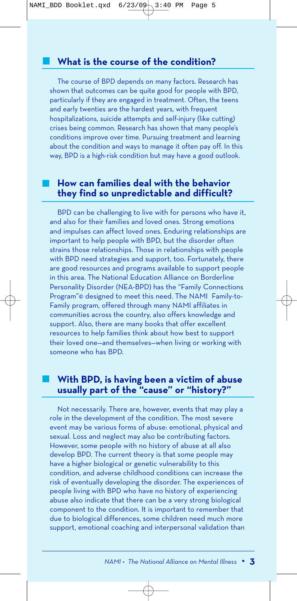The course of BPD depends on many factors. Research has shown that outcomes can be quite good for people with BPD, particularly if they are engaged in treatment. Often, the teens and early twenties are the hardest years, with frequent hospitalizations, suicide attempts and self-injury (like cutting) crises being common. Research has shown that many people's conditions improve over time. Pursuing treatment and learning about the condition and ways to manage it often pay off. In this way, BPD is a high-risk condition but may have a good outlook.

## **How can families deal with the behavior they find so unpredictable and difficult?**

BPD can be challenging to live with for persons who have it, and also for their families and loved ones. Strong emotions and impulses can affect loved ones. Enduring relationships are important to help people with BPD, but the disorder often strains those relationships. Those in relationships with people with BPD need strategies and support, too. Fortunately, there are good resources and programs available to support people in this area. The National Education Alliance on Borderline Personality Disorder (NEA-BPD) has the "Family Connections Program"© designed to meet this need. The NAMI Family-to-Family program, offered through many NAMI affiliates in communities across the country, also offers knowledge and support. Also, there are many books that offer excellent resources to help families think about how best to support their loved one—and themselves—when living or working with someone who has BPD.

# **With BPD, is having been a victim of abuse usually part of the "cause" or "history?"**

Not necessarily. There are, however, events that may play a role in the development of the condition. The most severe event may be various forms of abuse: emotional, physical and sexual. Loss and neglect may also be contributing factors. However, some people with no history of abuse at all also develop BPD. The current theory is that some people may have a higher biological or genetic vulnerability to this condition, and adverse childhood conditions can increase the risk of eventually developing the disorder. The experiences of people living with BPD who have no history of experiencing abuse also indicate that there can be a very strong biological component to the condition. It is important to remember that due to biological differences, some children need much more support, emotional coaching and interpersonal validation than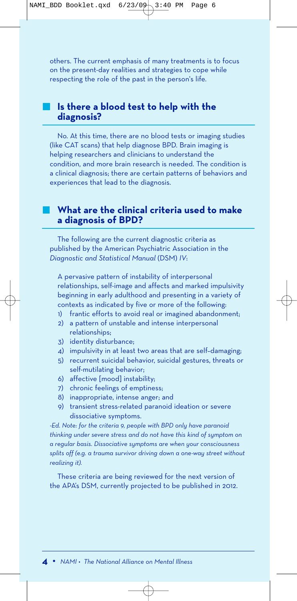others. The current emphasis of many treatments is to focus on the present-day realities and strategies to cope while respecting the role of the past in the person's life.

## **Is there a blood test to help with the diagnosis?**

No. At this time, there are no blood tests or imaging studies (like CAT scans) that help diagnose BPD. Brain imaging is helping researchers and clinicians to understand the condition, and more brain research is needed. The condition is a clinical diagnosis; there are certain patterns of behaviors and experiences that lead to the diagnosis.

# **What are the clinical criteria used to make a diagnosis of BPD?**

The following are the current diagnostic criteria as published by the American Psychiatric Association in the *Diagnostic and Statistical Manual* (DSM) *IV*:

A pervasive pattern of instability of interpersonal relationships, self-image and affects and marked impulsivity beginning in early adulthood and presenting in a variety of contexts as indicated by five or more of the following:

- 1) frantic efforts to avoid real or imagined abandonment;
- 2) a pattern of unstable and intense interpersonal relationships;
- 3) identity disturbance;
- 4) impulsivity in at least two areas that are self–damaging;
- 5) recurrent suicidal behavior, suicidal gestures, threats or self-mutilating behavior;
- 6) affective [mood] instability;
- 7) chronic feelings of emptiness;
- 8) inappropriate, intense anger; and
- 9) transient stress-related paranoid ideation or severe dissociative symptoms.

*-Ed. Note: for the criteria 9, people with BPD only have paranoid thinking under severe stress and do not have this kind of symptom on a regular basis. Dissociative symptoms are when your consciousness splits off (e.g. a trauma survivor driving down a one-way street without realizing it).*

These criteria are being reviewed for the next version of the APA's DSM, currently projected to be published in 2012.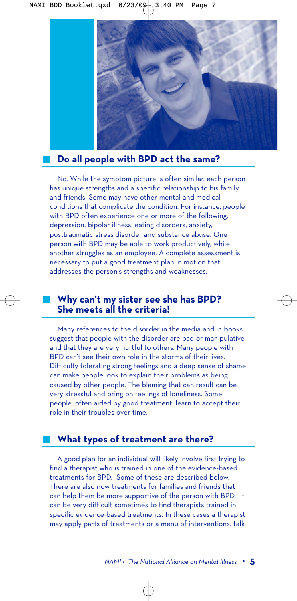

## **Do all people with BPD act the same?**

No. While the symptom picture is often similar, each person has unique strengths and a specific relationship to his family and friends. Some may have other mental and medical conditions that complicate the condition. For instance, people with BPD often experience one or more of the following: depression, bipolar illness, eating disorders, anxiety, posttraumatic stress disorder and substance abuse. One person with BPD may be able to work productively, while another struggles as an employee. A complete assessment is necessary to put a good treatment plan in motion that addresses the person's strengths and weaknesses.

# **Why can't my sister see she has BPD? She meets all the criteria!**

Many references to the disorder in the media and in books suggest that people with the disorder are bad or manipulative and that they are very hurtful to others. Many people with BPD can't see their own role in the storms of their lives. Difficulty tolerating strong feelings and a deep sense of shame can make people look to explain their problems as being caused by other people. The blaming that can result can be very stressful and bring on feelings of loneliness. Some people, often aided by good treatment, learn to accept their role in their troubles over time.

## **What types of treatment are there?**

A good plan for an individual will likely involve first trying to find a therapist who is trained in one of the evidence-based treatments for BPD. Some of these are described below. There are also now treatments for families and friends that can help them be more supportive of the person with BPD. It can be very difficult sometimes to find therapists trained in specific evidence-based treatments. In these cases a therapist may apply parts of treatments or a menu of interventions: talk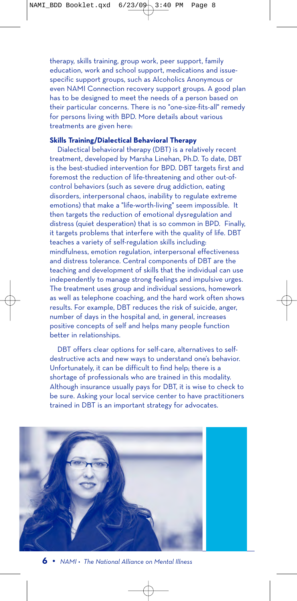therapy, skills training, group work, peer support, family education, work and school support, medications and issuespecific support groups, such as Alcoholics Anonymous or even NAMI Connection recovery support groups. A good plan has to be designed to meet the needs of a person based on their particular concerns. There is no "one-size-fits-all" remedy for persons living with BPD. More details about various treatments are given here:

#### **Skills Training/Dialectical Behavioral Therapy**

Dialectical behavioral therapy (DBT) is a relatively recent treatment, developed by Marsha Linehan, Ph.D. To date, DBT is the best-studied intervention for BPD. DBT targets first and foremost the reduction of life-threatening and other out-ofcontrol behaviors (such as severe drug addiction, eating disorders, interpersonal chaos, inability to regulate extreme emotions) that make a "life-worth-living" seem impossible. It then targets the reduction of emotional dysregulation and distress (quiet desperation) that is so common in BPD. Finally, it targets problems that interfere with the quality of life. DBT teaches a variety of self-regulation skills including: mindfulness, emotion regulation, interpersonal effectiveness and distress tolerance. Central components of DBT are the teaching and development of skills that the individual can use independently to manage strong feelings and impulsive urges. The treatment uses group and individual sessions, homework as well as telephone coaching, and the hard work often shows results. For example, DBT reduces the risk of suicide, anger, number of days in the hospital and, in general, increases positive concepts of self and helps many people function better in relationships.

DBT offers clear options for self-care, alternatives to selfdestructive acts and new ways to understand one's behavior. Unfortunately, it can be difficult to find help; there is a shortage of professionals who are trained in this modality. Although insurance usually pays for DBT, it is wise to check to be sure. Asking your local service center to have practitioners trained in DBT is an important strategy for advocates.



**6 •** *NAMI • The National Alliance on Mental Illness*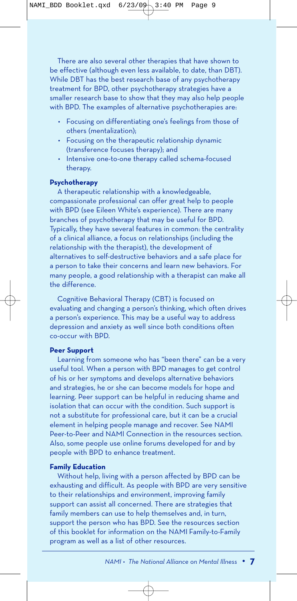There are also several other therapies that have shown to be effective (although even less available, to date, than DBT). While DBT has the best research base of any psychotherapy treatment for BPD, other psychotherapy strategies have a smaller research base to show that they may also help people with BPD. The examples of alternative psychotherapies are:

- Focusing on differentiating one's feelings from those of others (mentalization);
- Focusing on the therapeutic relationship dynamic (transference focuses therapy); and
- Intensive one-to-one therapy called schema-focused therapy.

#### **Psychotherapy**

A therapeutic relationship with a knowledgeable, compassionate professional can offer great help to people with BPD (see Eileen White's experience). There are many branches of psychotherapy that may be useful for BPD. Typically, they have several features in common: the centrality of a clinical alliance, a focus on relationships (including the relationship with the therapist), the development of alternatives to self-destructive behaviors and a safe place for a person to take their concerns and learn new behaviors. For many people, a good relationship with a therapist can make all the difference.

Cognitive Behavioral Therapy (CBT) is focused on evaluating and changing a person's thinking, which often drives a person's experience. This may be a useful way to address depression and anxiety as well since both conditions often co-occur with BPD.

#### **Peer Support**

Learning from someone who has "been there" can be a very useful tool. When a person with BPD manages to get control of his or her symptoms and develops alternative behaviors and strategies, he or she can become models for hope and learning. Peer support can be helpful in reducing shame and isolation that can occur with the condition. Such support is not a substitute for professional care, but it can be a crucial element in helping people manage and recover. See NAMI Peer-to-Peer and NAMI Connection in the resources section. Also, some people use online forums developed for and by people with BPD to enhance treatment.

#### **Family Education**

Without help, living with a person affected by BPD can be exhausting and difficult. As people with BPD are very sensitive to their relationships and environment, improving family support can assist all concerned. There are strategies that family members can use to help themselves and, in turn, support the person who has BPD. See the resources section of this booklet for information on the NAMI Family-to-Family program as well as a list of other resources.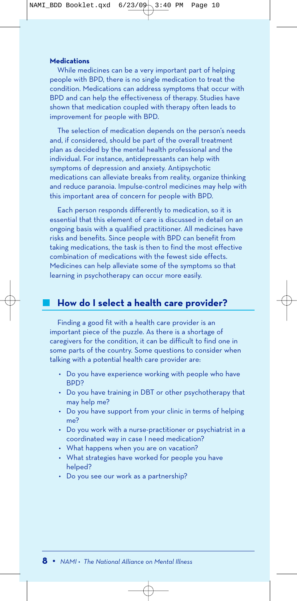#### **Medications**

While medicines can be a very important part of helping people with BPD, there is no single medication to treat the condition. Medications can address symptoms that occur with BPD and can help the effectiveness of therapy. Studies have shown that medication coupled with therapy often leads to improvement for people with BPD.

The selection of medication depends on the person's needs and, if considered, should be part of the overall treatment plan as decided by the mental health professional and the individual. For instance, antidepressants can help with symptoms of depression and anxiety. Antipsychotic medications can alleviate breaks from reality, organize thinking and reduce paranoia. Impulse-control medicines may help with this important area of concern for people with BPD.

Each person responds differently to medication, so it is essential that this element of care is discussed in detail on an ongoing basis with a qualified practitioner. All medicines have risks and benefits. Since people with BPD can benefit from taking medications, the task is then to find the most effective combination of medications with the fewest side effects. Medicines can help alleviate some of the symptoms so that learning in psychotherapy can occur more easily.

# **How do I select a health care provider?**

Finding a good fit with a health care provider is an important piece of the puzzle. As there is a shortage of caregivers for the condition, it can be difficult to find one in some parts of the country. Some questions to consider when talking with a potential health care provider are:

- Do you have experience working with people who have BPD?
- Do you have training in DBT or other psychotherapy that may help me?
- Do you have support from your clinic in terms of helping me?
- Do you work with a nurse-practitioner or psychiatrist in a coordinated way in case I need medication?
- What happens when you are on vacation?
- What strategies have worked for people you have helped?
- Do you see our work as a partnership?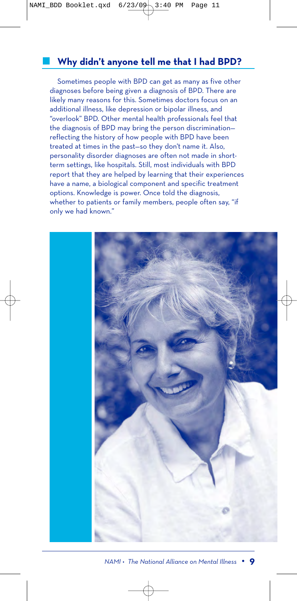# **Why didn't anyone tell me that I had BPD?**

Sometimes people with BPD can get as many as five other diagnoses before being given a diagnosis of BPD. There are likely many reasons for this. Sometimes doctors focus on an additional illness, like depression or bipolar illness, and "overlook" BPD. Other mental health professionals feel that the diagnosis of BPD may bring the person discrimination reflecting the history of how people with BPD have been treated at times in the past—so they don't name it. Also, personality disorder diagnoses are often not made in shortterm settings, like hospitals. Still, most individuals with BPD report that they are helped by learning that their experiences have a name, a biological component and specific treatment options. Knowledge is power. Once told the diagnosis, whether to patients or family members, people often say, "if only we had known."

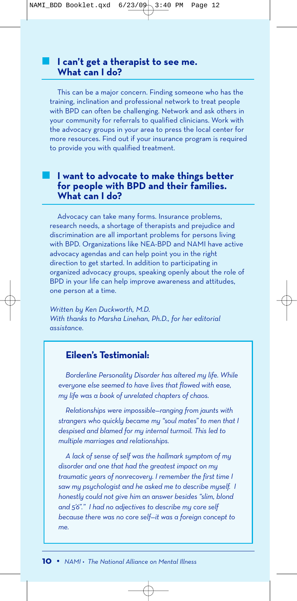## **I can't get a therapist to see me. What can I do?**

This can be a major concern. Finding someone who has the training, inclination and professional network to treat people with BPD can often be challenging. Network and ask others in your community for referrals to qualified clinicians. Work with the advocacy groups in your area to press the local center for more resources. Find out if your insurance program is required to provide you with qualified treatment.

# **I want to advocate to make things better for people with BPD and their families. What can I do?**

Advocacy can take many forms. Insurance problems, research needs, a shortage of therapists and prejudice and discrimination are all important problems for persons living with BPD. Organizations like NEA-BPD and NAMI have active advocacy agendas and can help point you in the right direction to get started. In addition to participating in organized advocacy groups, speaking openly about the role of BPD in your life can help improve awareness and attitudes, one person at a time.

*Written by Ken Duckworth, M.D. With thanks to Marsha Linehan, Ph.D., for her editorial assistance.*

# **Eileen's Testimonial:**

*Borderline Personality Disorder has altered my life. While everyone else seemed to have lives that flowed with ease, my life was a book of unrelated chapters of chaos.* 

*Relationships were impossible—ranging from jaunts with strangers who quickly became my "soul mates" to men that I despised and blamed for my internal turmoil. This led to multiple marriages and relationships.*

*A lack of sense of self was the hallmark symptom of my disorder and one that had the greatest impact on my traumatic years of nonrecovery. I remember the first time I saw my psychologist and he asked me to describe myself. I honestly could not give him an answer besides "slim, blond and 5'6"." I had no adjectives to describe my core self because there was no core self—it was a foreign concept to me.*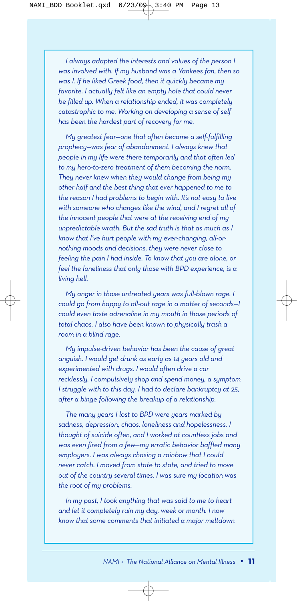*I always adapted the interests and values of the person I was involved with. If my husband was a Yankees fan, then so was I. If he liked Greek food, then it quickly became my favorite. I actually felt like an empty hole that could never be filled up. When a relationship ended, it was completely catastrophic to me. Working on developing a sense of self has been the hardest part of recovery for me.* 

*My greatest fear—one that often became a self-fulfilling prophecy—was fear of abandonment. I always knew that people in my life were there temporarily and that often led to my hero-to-zero treatment of them becoming the norm. They never knew when they would change from being my other half and the best thing that ever happened to me to the reason I had problems to begin with. It's not easy to live with someone who changes like the wind, and I regret all of the innocent people that were at the receiving end of my unpredictable wrath. But the sad truth is that as much as I know that I've hurt people with my ever-changing, all-ornothing moods and decisions, they were never close to feeling the pain I had inside. To know that you are alone, or feel the loneliness that only those with BPD experience, is a living hell.*

*My anger in those untreated years was full-blown rage. I could go from happy to all-out rage in a matter of seconds—I could even taste adrenaline in my mouth in those periods of total chaos. I also have been known to physically trash a room in a blind rage.* 

*My impulse-driven behavior has been the cause of great anguish. I would get drunk as early as 14 years old and experimented with drugs. I would often drive a car recklessly. I compulsively shop and spend money, a symptom I struggle with to this day. I had to declare bankruptcy at 25, after a binge following the breakup of a relationship.*

*The many years I lost to BPD were years marked by sadness, depression, chaos, loneliness and hopelessness. I thought of suicide often, and I worked at countless jobs and was even fired from a few—my erratic behavior baffled many employers. I was always chasing a rainbow that I could never catch. I moved from state to state, and tried to move out of the country several times. I was sure my location was the root of my problems.* 

*In my past, I took anything that was said to me to heart and let it completely ruin my day, week or month. I now know that some comments that initiated a major meltdown*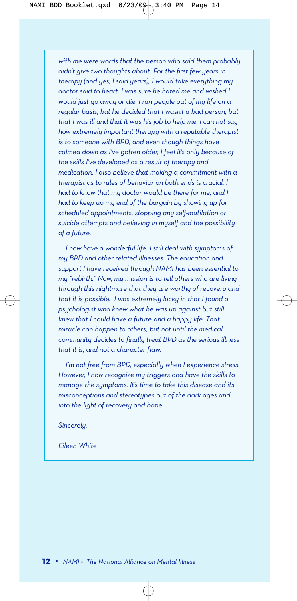*with me were words that the person who said them probably didn't give two thoughts about. For the first few years in therapy (and yes, I said years), I would take everything my doctor said to heart. I was sure he hated me and wished I would just go away or die. I ran people out of my life on a regular basis, but he decided that I wasn't a bad person, but that I was ill and that it was his job to help me. I can not say how extremely important therapy with a reputable therapist is to someone with BPD, and even though things have calmed down as I've gotten older, I feel it's only because of the skills I've developed as a result of therapy and medication. I also believe that making a commitment with a therapist as to rules of behavior on both ends is crucial. I had to know that my doctor would be there for me, and I had to keep up my end of the bargain by showing up for scheduled appointments, stopping any self-mutilation or suicide attempts and believing in myself and the possibility of a future.*

*I now have a wonderful life. I still deal with symptoms of my BPD and other related illnesses. The education and support I have received through NAMI has been essential to my "rebirth." Now, my mission is to tell others who are living through this nightmare that they are worthy of recovery and that it is possible. I was extremely lucky in that I found a psychologist who knew what he was up against but still knew that I could have a future and a happy life. That miracle can happen to others, but not until the medical community decides to finally treat BPD as the serious illness that it is, and not a character flaw.* 

*I'm not free from BPD, especially when I experience stress. However, I now recognize my triggers and have the skills to manage the symptoms. It's time to take this disease and its misconceptions and stereotypes out of the dark ages and into the light of recovery and hope.*

*Sincerely,*

*Eileen White*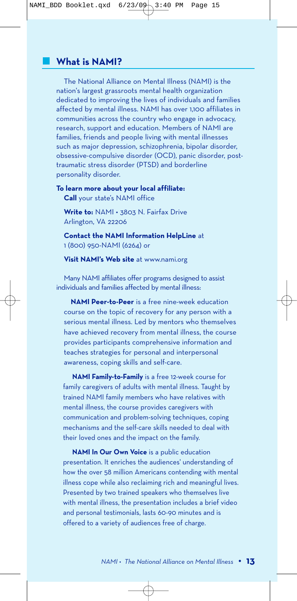## **What is NAMI?**

The National Alliance on Mental Illness (NAMI) is the nation's largest grassroots mental health organization dedicated to improving the lives of individuals and families affected by mental illness. NAMI has over 1,100 affiliates in communities across the country who engage in advocacy, research, support and education. Members of NAMI are families, friends and people living with mental illnesses such as major depression, schizophrenia, bipolar disorder, obsessive-compulsive disorder (OCD), panic disorder, posttraumatic stress disorder (PTSD) and borderline personality disorder.

**To learn more about your local affiliate: Call** your state's NAMI office

**Write to:** NAMI • 3803 N. Fairfax Drive Arlington, VA 22206

**Contact the NAMI Information HelpLine** at 1 (800) 950-NAMI (6264) or

**Visit NAMI's Web site** at www.nami.org

Many NAMI affiliates offer programs designed to assist individuals and families affected by mental illness:

**NAMI Peer-to-Peer** is a free nine-week education course on the topic of recovery for any person with a serious mental illness. Led by mentors who themselves have achieved recovery from mental illness, the course provides participants comprehensive information and teaches strategies for personal and interpersonal awareness, coping skills and self-care.

**NAMI Family-to-Family** is a free 12-week course for family caregivers of adults with mental illness. Taught by trained NAMI family members who have relatives with mental illness, the course provides caregivers with communication and problem-solving techniques, coping mechanisms and the self-care skills needed to deal with their loved ones and the impact on the family.

**NAMI In Our Own Voice** is a public education presentation. It enriches the audiences' understanding of how the over 58 million Americans contending with mental illness cope while also reclaiming rich and meaningful lives. Presented by two trained speakers who themselves live with mental illness, the presentation includes a brief video and personal testimonials, lasts 60-90 minutes and is offered to a variety of audiences free of charge.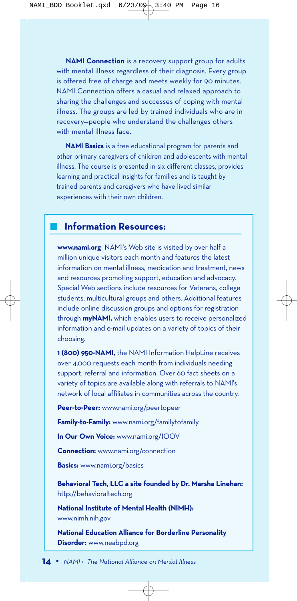**NAMI Connection** is a recovery support group for adults with mental illness regardless of their diagnosis. Every group is offered free of charge and meets weekly for 90 minutes. NAMI Connection offers a casual and relaxed approach to sharing the challenges and successes of coping with mental illness. The groups are led by trained individuals who are in recovery—people who understand the challenges others with mental illness face.

**NAMI Basics** is a free educational program for parents and other primary caregivers of children and adolescents with mental illness. The course is presented in six different classes, provides learning and practical insights for families and is taught by trained parents and caregivers who have lived similar experiences with their own children.

## **Information Resources:**

**www.nami.org** NAMI's Web site is visited by over half a million unique visitors each month and features the latest information on mental illness, medication and treatment, news and resources promoting support, education and advocacy. Special Web sections include resources for Veterans, college students, multicultural groups and others. Additional features include online discussion groups and options for registration through **myNAMI,** which enables users to receive personalized information and e-mail updates on a variety of topics of their choosing.

**1 (800) 950-NAMI,** the NAMI Information HelpLine receives over 4,000 requests each month from individuals needing support, referral and information. Over 60 fact sheets on a variety of topics are available along with referrals to NAMI's network of local affiliates in communities across the country.

**Peer-to-Peer:** www.nami.org/peertopeer

**Family-to-Family:** www.nami.org/familytofamily

**In Our Own Voice:** www.nami.org/IOOV

**Connection:** www.nami.org/connection

**Basics:** www.nami.org/basics

**Behavioral Tech, LLC a site founded by Dr. Marsha Linehan:** http://behavioraltech.org

**National Institute of Mental Health (NIMH):** www.nimh.nih.gov

**National Education Alliance for Borderline Personality Disorder:** www.neabpd.org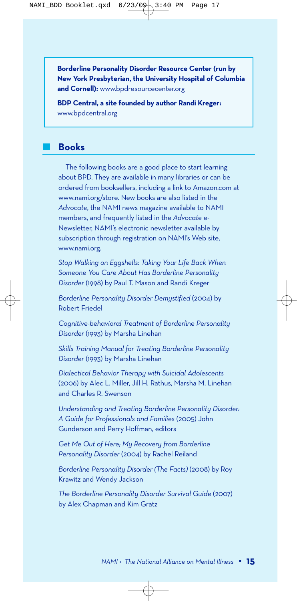**Borderline Personality Disorder Resource Center (run by New York Presbyterian, the University Hospital of Columbia and Cornell):** www.bpdresourcecenter.org

**BDP Central, a site founded by author Randi Kreger:** www.bpdcentral.org

### **Books**

The following books are a good place to start learning about BPD. They are available in many libraries or can be ordered from booksellers, including a link to Amazon.com at www.nami.org/store. New books are also listed in the *Advocate*, the NAMI news magazine available to NAMI members, and frequently listed in the *Advocate* e-Newsletter, NAMI's electronic newsletter available by subscription through registration on NAMI's Web site, www.nami.org.

*Stop Walking on Eggshells: Taking Your Life Back When Someone You Care About Has Borderline Personality Disorder* (1998) by Paul T. Mason and Randi Kreger

*Borderline Personality Disorder Demystified* (2004) by Robert Friedel

*Cognitive-behavioral Treatment of Borderline Personality Disorder* (1993) by Marsha Linehan

*Skills Training Manual for Treating Borderline Personality Disorder* (1993) by Marsha Linehan

*Dialectical Behavior Therapy with Suicidal Adolescents* (2006) by Alec L. Miller, Jill H. Rathus, Marsha M. Linehan and Charles R. Swenson

*Understanding and Treating Borderline Personality Disorder: A Guide for Professionals and Families* (2005) John Gunderson and Perry Hoffman, editors

*Get Me Out of Here; My Recovery from Borderline Personality Disorder* (2004) by Rachel Reiland

*Borderline Personality Disorder (The Facts)* (2008) by Roy Krawitz and Wendy Jackson

*The Borderline Personality Disorder Survival Guide* (2007) by Alex Chapman and Kim Gratz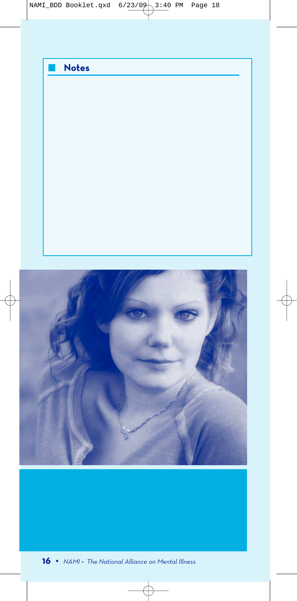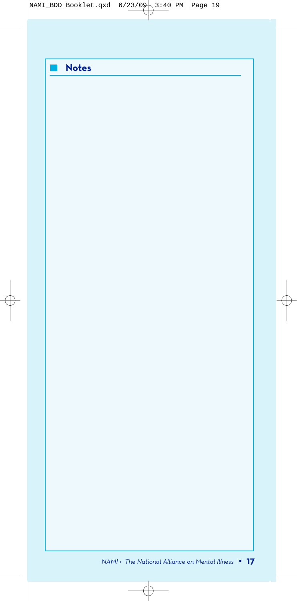|  | <b>Notes</b> |
|--|--------------|
|  |              |
|  |              |
|  |              |
|  |              |
|  |              |
|  |              |
|  |              |
|  |              |
|  |              |
|  |              |
|  |              |
|  |              |
|  |              |
|  |              |
|  |              |
|  |              |
|  |              |
|  |              |
|  |              |
|  |              |
|  |              |
|  |              |
|  |              |
|  |              |
|  |              |
|  |              |
|  |              |
|  |              |
|  |              |
|  |              |